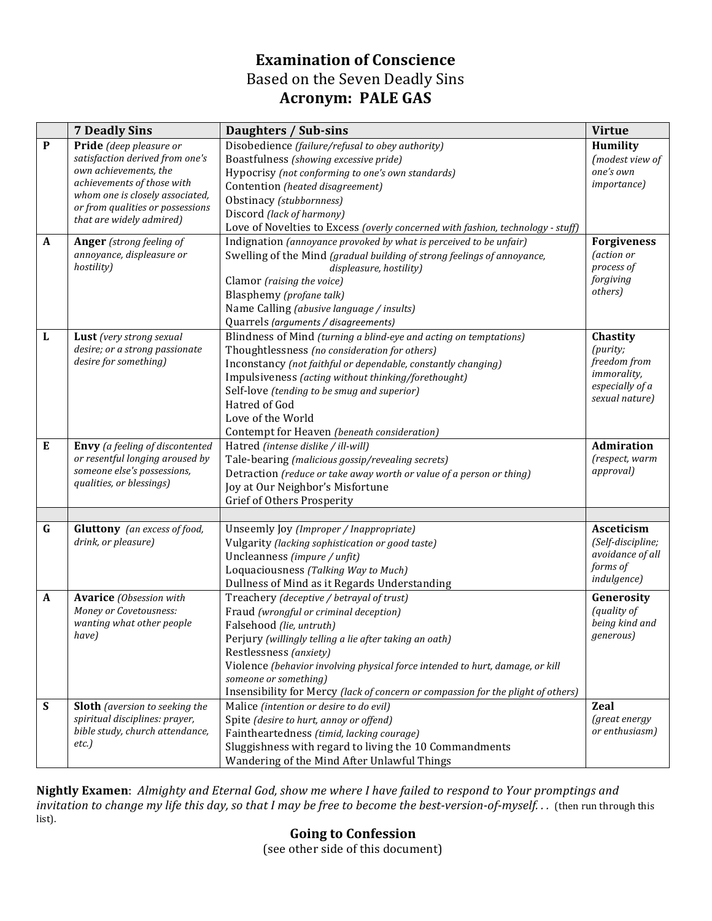## **Examination of Conscience** Based on the Seven Deadly Sins **Acronym: PALE GAS**

|              | <b>7 Deadly Sins</b>                                              | Daughters / Sub-sins                                                             | <b>Virtue</b>                     |
|--------------|-------------------------------------------------------------------|----------------------------------------------------------------------------------|-----------------------------------|
| $\mathbf{P}$ | Pride (deep pleasure or                                           | Disobedience (failure/refusal to obey authority)                                 | Humility                          |
|              | satisfaction derived from one's                                   | Boastfulness (showing excessive pride)                                           | (modest view of                   |
|              | own achievements, the                                             | Hypocrisy (not conforming to one's own standards)                                | one's own                         |
|              | achievements of those with                                        | Contention (heated disagreement)                                                 | <i>importance</i> )               |
|              | whom one is closely associated,                                   | Obstinacy (stubbornness)                                                         |                                   |
|              | or from qualities or possessions<br>that are widely admired)      | Discord (lack of harmony)                                                        |                                   |
|              |                                                                   | Love of Novelties to Excess (overly concerned with fashion, technology - stuff)  |                                   |
| A            | <b>Anger</b> (strong feeling of                                   | Indignation (annoyance provoked by what is perceived to be unfair)               | <b>Forgiveness</b>                |
|              | annoyance, displeasure or                                         | Swelling of the Mind (gradual building of strong feelings of annoyance,          | <i>(action or</i>                 |
|              | hostility)                                                        | displeasure, hostility)                                                          | process of                        |
|              |                                                                   | Clamor (raising the voice)                                                       | forgiving                         |
|              |                                                                   | Blasphemy (profane talk)                                                         | others)                           |
|              |                                                                   | Name Calling (abusive language / insults)                                        |                                   |
|              |                                                                   | Quarrels (arguments / disagreements)                                             |                                   |
| L            | Lust (very strong sexual                                          | Blindness of Mind (turning a blind-eye and acting on temptations)                | Chastity                          |
|              | desire; or a strong passionate                                    | Thoughtlessness (no consideration for others)                                    | (purity;                          |
|              | desire for something)                                             | Inconstancy (not faithful or dependable, constantly changing)                    | freedom from                      |
|              |                                                                   | Impulsiveness (acting without thinking/forethought)                              | immorality,                       |
|              |                                                                   | Self-love (tending to be smug and superior)                                      | especially of a<br>sexual nature) |
|              |                                                                   | Hatred of God                                                                    |                                   |
|              |                                                                   | Love of the World                                                                |                                   |
|              |                                                                   | Contempt for Heaven (beneath consideration)                                      |                                   |
| E            | Envy (a feeling of discontented                                   | Hatred (intense dislike / ill-will)                                              | <b>Admiration</b>                 |
|              | or resentful longing aroused by                                   | Tale-bearing (malicious gossip/revealing secrets)                                | (respect, warm                    |
|              | someone else's possessions,                                       | Detraction (reduce or take away worth or value of a person or thing)             | <i>approval</i> )                 |
|              | qualities, or blessings)                                          | Joy at Our Neighbor's Misfortune                                                 |                                   |
|              |                                                                   | Grief of Others Prosperity                                                       |                                   |
|              |                                                                   |                                                                                  |                                   |
| G            | <b>Gluttony</b> (an excess of food,                               | Unseemly Joy (Improper / Inappropriate)                                          | Asceticism                        |
|              | drink, or pleasure)                                               | Vulgarity (lacking sophistication or good taste)                                 | (Self-discipline;                 |
|              |                                                                   | Uncleanness (impure / unfit)                                                     | avoidance of all<br>forms of      |
|              |                                                                   | Loquaciousness (Talking Way to Much)                                             | indulgence)                       |
|              |                                                                   | Dullness of Mind as it Regards Understanding                                     |                                   |
| $\mathbf{A}$ | <b>Avarice</b> (Obsession with                                    | Treachery (deceptive / betrayal of trust)                                        | Generosity                        |
|              | Money or Covetousness:<br>wanting what other people               | Fraud (wrongful or criminal deception)                                           | (quality of<br>being kind and     |
|              | have)                                                             | Falsehood (lie, untruth)                                                         | generous)                         |
|              |                                                                   | Perjury (willingly telling a lie after taking an oath)                           |                                   |
|              |                                                                   | Restlessness (anxiety)                                                           |                                   |
|              |                                                                   | Violence (behavior involving physical force intended to hurt, damage, or kill    |                                   |
|              |                                                                   | someone or something)                                                            |                                   |
|              |                                                                   | Insensibility for Mercy (lack of concern or compassion for the plight of others) |                                   |
| S            | <b>Sloth</b> (aversion to seeking the                             | Malice (intention or desire to do evil)                                          | <b>Zeal</b>                       |
|              | spiritual disciplines: prayer,<br>bible study, church attendance, | Spite (desire to hurt, annoy or offend)                                          | (great energy<br>or enthusiasm)   |
|              | etc.                                                              | Faintheartedness (timid, lacking courage)                                        |                                   |
|              |                                                                   | Sluggishness with regard to living the 10 Commandments                           |                                   |
|              |                                                                   | Wandering of the Mind After Unlawful Things                                      |                                   |

Nightly Examen: Almighty and Eternal God, show me where I have failed to respond to Your promptings and *invitation to change my life this day, so that I may be free to become the best-version-of-myself...* (then run through this list). 

**Going to Confession** (see other side of this document)